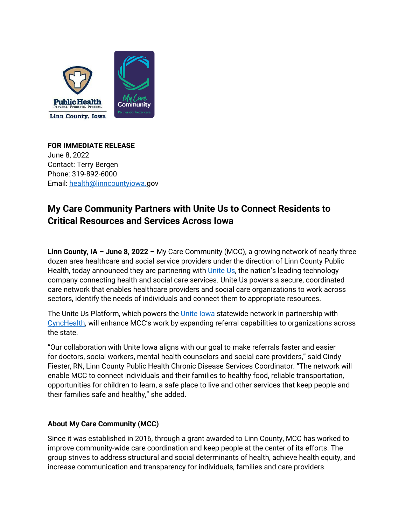

**FOR IMMEDIATE RELEASE** June 8, 2022 Contact: Terry Bergen Phone: 319-892-6000 Email: [health@linncountyiowa.g](mailto:health@linncounty.org)ov

## **My Care Community Partners with Unite Us to Connect Residents to Critical Resources and Services Across Iowa**

**Linn County, IA – June 8, 2022** – My Care Community (MCC), a growing network of nearly three dozen area healthcare and social service providers under the direction of Linn County Public Health, today announced they are partnering wit[h Unite Us,](https://uniteus.com/) the nation's leading technology company connecting health and social care services. Unite Us powers a secure, coordinated care network that enables healthcare providers and social care organizations to work across sectors, identify the needs of individuals and connect them to appropriate resources.

The Unite Us Platform, which powers the [Unite Iowa](https://iowa.uniteus.com/) statewide network in partnership with [CyncHealth,](https://cynchealth.org/) will enhance MCC's work by expanding referral capabilities to organizations across the state.

"Our collaboration with Unite Iowa aligns with our goal to make referrals faster and easier for doctors, social workers, mental health counselors and social care providers," said Cindy Fiester, RN, Linn County Public Health Chronic Disease Services Coordinator. "The network will enable MCC to connect individuals and their families to healthy food, reliable transportation, opportunities for children to learn, a safe place to live and other services that keep people and their families safe and healthy," she added.

## **About My Care Community (MCC)**

Since it was established in 2016, through a grant awarded to Linn County, MCC has worked to improve community-wide care coordination and keep people at the center of its efforts. The group strives to address structural and social determinants of health, achieve health equity, and increase communication and transparency for individuals, families and care providers.